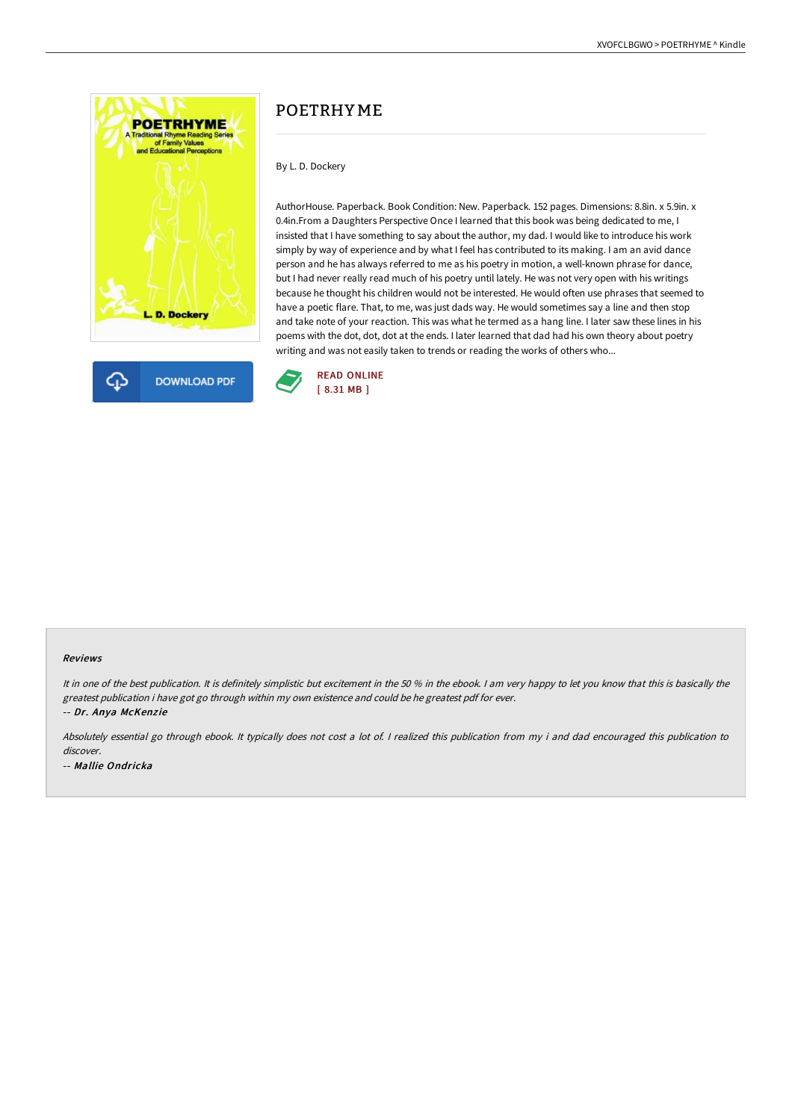



# POETRHY ME

## By L. D. Dockery

AuthorHouse. Paperback. Book Condition: New. Paperback. 152 pages. Dimensions: 8.8in. x 5.9in. x 0.4in.From a Daughters Perspective Once I learned that this book was being dedicated to me, I insisted that I have something to say about the author, my dad. I would like to introduce his work simply by way of experience and by what I feel has contributed to its making. I am an avid dance person and he has always referred to me as his poetry in motion, a well-known phrase for dance, but I had never really read much of his poetry until lately. He was not very open with his writings because he thought his children would not be interested. He would often use phrases that seemed to have a poetic flare. That, to me, was just dads way. He would sometimes say a line and then stop and take note of your reaction. This was what he termed as a hang line. I later saw these lines in his poems with the dot, dot, dot at the ends. I later learned that dad had his own theory about poetry writing and was not easily taken to trends or reading the works of others who...



#### Reviews

It in one of the best publication. It is definitely simplistic but excitement in the 50 % in the ebook. I am very happy to let you know that this is basically the greatest publication i have got go through within my own existence and could be he greatest pdf for ever. -- Dr. Anya McKenzie

Absolutely essential go through ebook. It typically does not cost <sup>a</sup> lot of. <sup>I</sup> realized this publication from my i and dad encouraged this publication to discover. -- Mallie Ondricka